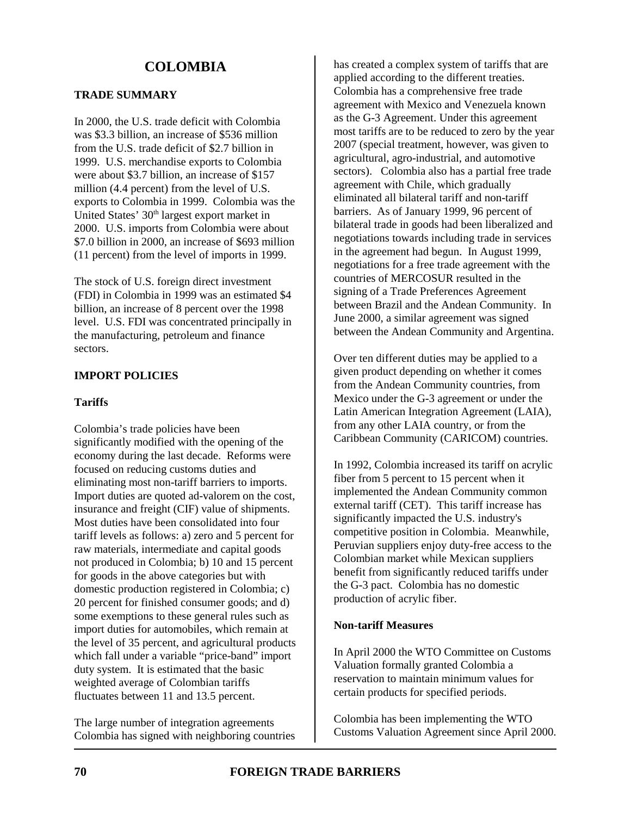### **TRADE SUMMARY**

In 2000, the U.S. trade deficit with Colombia was \$3.3 billion, an increase of \$536 million from the U.S. trade deficit of \$2.7 billion in 1999. U.S. merchandise exports to Colombia were about \$3.7 billion, an increase of \$157 million (4.4 percent) from the level of U.S. exports to Colombia in 1999. Colombia was the United States' 30<sup>th</sup> largest export market in 2000. U.S. imports from Colombia were about \$7.0 billion in 2000, an increase of \$693 million (11 percent) from the level of imports in 1999.

The stock of U.S. foreign direct investment (FDI) in Colombia in 1999 was an estimated \$4 billion, an increase of 8 percent over the 1998 level. U.S. FDI was concentrated principally in the manufacturing, petroleum and finance sectors.

#### **IMPORT POLICIES**

#### **Tariffs**

Colombia's trade policies have been significantly modified with the opening of the economy during the last decade. Reforms were focused on reducing customs duties and eliminating most non-tariff barriers to imports. Import duties are quoted ad-valorem on the cost, insurance and freight (CIF) value of shipments. Most duties have been consolidated into four tariff levels as follows: a) zero and 5 percent for raw materials, intermediate and capital goods not produced in Colombia; b) 10 and 15 percent for goods in the above categories but with domestic production registered in Colombia; c) 20 percent for finished consumer goods; and d) some exemptions to these general rules such as import duties for automobiles, which remain at the level of 35 percent, and agricultural products which fall under a variable "price-band" import duty system. It is estimated that the basic weighted average of Colombian tariffs fluctuates between 11 and 13.5 percent.

The large number of integration agreements Colombia has signed with neighboring countries

has created a complex system of tariffs that are applied according to the different treaties. Colombia has a comprehensive free trade agreement with Mexico and Venezuela known as the G-3 Agreement. Under this agreement most tariffs are to be reduced to zero by the year 2007 (special treatment, however, was given to agricultural, agro-industrial, and automotive sectors). Colombia also has a partial free trade agreement with Chile, which gradually eliminated all bilateral tariff and non-tariff barriers. As of January 1999, 96 percent of bilateral trade in goods had been liberalized and negotiations towards including trade in services in the agreement had begun. In August 1999, negotiations for a free trade agreement with the countries of MERCOSUR resulted in the signing of a Trade Preferences Agreement between Brazil and the Andean Community. In June 2000, a similar agreement was signed between the Andean Community and Argentina.

Over ten different duties may be applied to a given product depending on whether it comes from the Andean Community countries, from Mexico under the G-3 agreement or under the Latin American Integration Agreement (LAIA), from any other LAIA country, or from the Caribbean Community (CARICOM) countries.

In 1992, Colombia increased its tariff on acrylic fiber from 5 percent to 15 percent when it implemented the Andean Community common external tariff (CET). This tariff increase has significantly impacted the U.S. industry's competitive position in Colombia. Meanwhile, Peruvian suppliers enjoy duty-free access to the Colombian market while Mexican suppliers benefit from significantly reduced tariffs under the G-3 pact. Colombia has no domestic production of acrylic fiber.

#### **Non-tariff Measures**

In April 2000 the WTO Committee on Customs Valuation formally granted Colombia a reservation to maintain minimum values for certain products for specified periods.

Colombia has been implementing the WTO Customs Valuation Agreement since April 2000.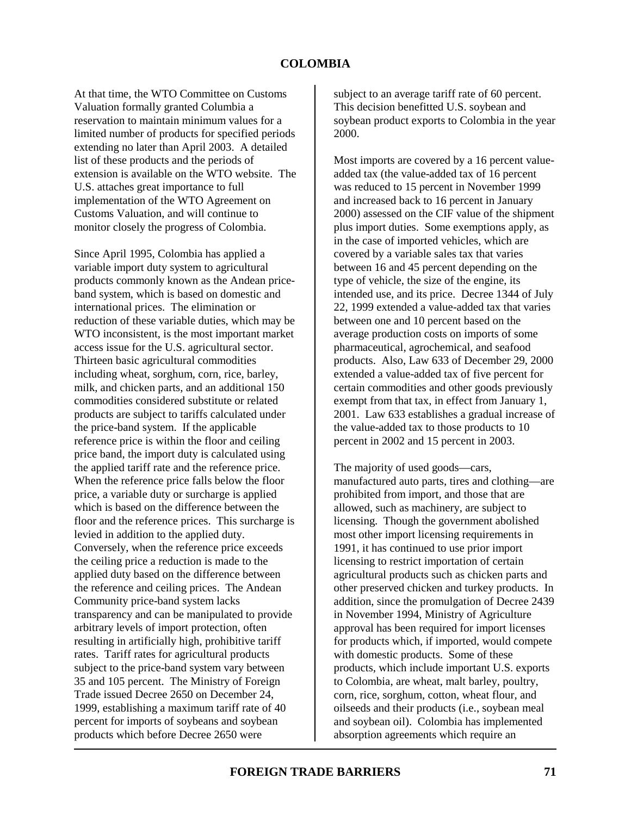At that time, the WTO Committee on Customs Valuation formally granted Columbia a reservation to maintain minimum values for a limited number of products for specified periods extending no later than April 2003. A detailed list of these products and the periods of extension is available on the WTO website. The U.S. attaches great importance to full implementation of the WTO Agreement on Customs Valuation, and will continue to monitor closely the progress of Colombia.

Since April 1995, Colombia has applied a variable import duty system to agricultural products commonly known as the Andean priceband system, which is based on domestic and international prices. The elimination or reduction of these variable duties, which may be WTO inconsistent, is the most important market access issue for the U.S. agricultural sector. Thirteen basic agricultural commodities including wheat, sorghum, corn, rice, barley, milk, and chicken parts, and an additional 150 commodities considered substitute or related products are subject to tariffs calculated under the price-band system. If the applicable reference price is within the floor and ceiling price band, the import duty is calculated using the applied tariff rate and the reference price. When the reference price falls below the floor price, a variable duty or surcharge is applied which is based on the difference between the floor and the reference prices. This surcharge is levied in addition to the applied duty. Conversely, when the reference price exceeds the ceiling price a reduction is made to the applied duty based on the difference between the reference and ceiling prices. The Andean Community price-band system lacks transparency and can be manipulated to provide arbitrary levels of import protection, often resulting in artificially high, prohibitive tariff rates. Tariff rates for agricultural products subject to the price-band system vary between 35 and 105 percent. The Ministry of Foreign Trade issued Decree 2650 on December 24, 1999, establishing a maximum tariff rate of 40 percent for imports of soybeans and soybean products which before Decree 2650 were

subject to an average tariff rate of 60 percent. This decision benefitted U.S. soybean and soybean product exports to Colombia in the year 2000.

Most imports are covered by a 16 percent valueadded tax (the value-added tax of 16 percent was reduced to 15 percent in November 1999 and increased back to 16 percent in January 2000) assessed on the CIF value of the shipment plus import duties. Some exemptions apply, as in the case of imported vehicles, which are covered by a variable sales tax that varies between 16 and 45 percent depending on the type of vehicle, the size of the engine, its intended use, and its price. Decree 1344 of July 22, 1999 extended a value-added tax that varies between one and 10 percent based on the average production costs on imports of some pharmaceutical, agrochemical, and seafood products. Also, Law 633 of December 29, 2000 extended a value-added tax of five percent for certain commodities and other goods previously exempt from that tax, in effect from January 1, 2001. Law 633 establishes a gradual increase of the value-added tax to those products to 10 percent in 2002 and 15 percent in 2003.

The majority of used goods—cars, manufactured auto parts, tires and clothing—are prohibited from import, and those that are allowed, such as machinery, are subject to licensing. Though the government abolished most other import licensing requirements in 1991, it has continued to use prior import licensing to restrict importation of certain agricultural products such as chicken parts and other preserved chicken and turkey products. In addition, since the promulgation of Decree 2439 in November 1994, Ministry of Agriculture approval has been required for import licenses for products which, if imported, would compete with domestic products. Some of these products, which include important U.S. exports to Colombia, are wheat, malt barley, poultry, corn, rice, sorghum, cotton, wheat flour, and oilseeds and their products (i.e., soybean meal and soybean oil). Colombia has implemented absorption agreements which require an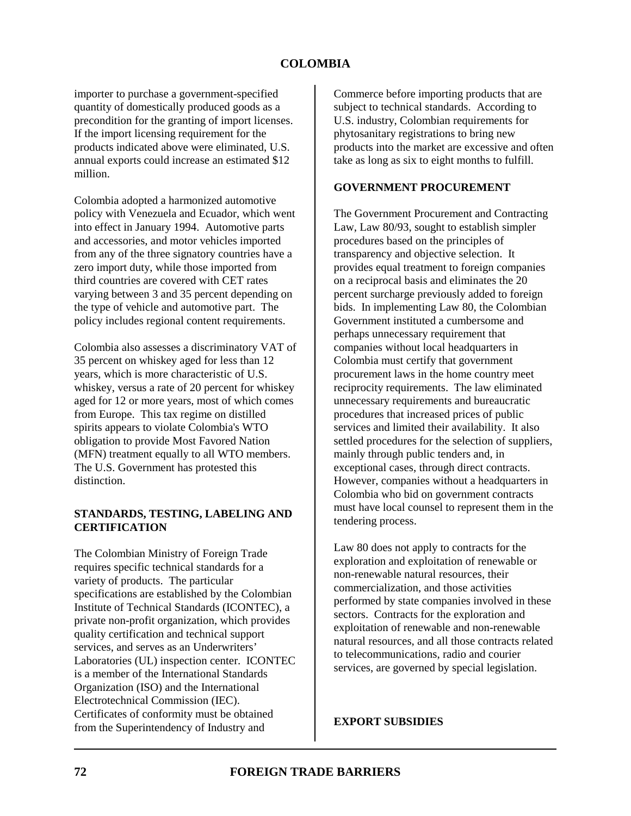importer to purchase a government-specified quantity of domestically produced goods as a precondition for the granting of import licenses. If the import licensing requirement for the products indicated above were eliminated, U.S. annual exports could increase an estimated \$12 million.

Colombia adopted a harmonized automotive policy with Venezuela and Ecuador, which went into effect in January 1994. Automotive parts and accessories, and motor vehicles imported from any of the three signatory countries have a zero import duty, while those imported from third countries are covered with CET rates varying between 3 and 35 percent depending on the type of vehicle and automotive part. The policy includes regional content requirements.

Colombia also assesses a discriminatory VAT of 35 percent on whiskey aged for less than 12 years, which is more characteristic of U.S. whiskey, versus a rate of 20 percent for whiskey aged for 12 or more years, most of which comes from Europe. This tax regime on distilled spirits appears to violate Colombia's WTO obligation to provide Most Favored Nation (MFN) treatment equally to all WTO members. The U.S. Government has protested this distinction.

#### **STANDARDS, TESTING, LABELING AND CERTIFICATION**

The Colombian Ministry of Foreign Trade requires specific technical standards for a variety of products. The particular specifications are established by the Colombian Institute of Technical Standards (ICONTEC), a private non-profit organization, which provides quality certification and technical support services, and serves as an Underwriters' Laboratories (UL) inspection center. ICONTEC is a member of the International Standards Organization (ISO) and the International Electrotechnical Commission (IEC). Certificates of conformity must be obtained from the Superintendency of Industry and

Commerce before importing products that are subject to technical standards. According to U.S. industry, Colombian requirements for phytosanitary registrations to bring new products into the market are excessive and often take as long as six to eight months to fulfill.

### **GOVERNMENT PROCUREMENT**

The Government Procurement and Contracting Law, Law 80/93, sought to establish simpler procedures based on the principles of transparency and objective selection. It provides equal treatment to foreign companies on a reciprocal basis and eliminates the 20 percent surcharge previously added to foreign bids. In implementing Law 80, the Colombian Government instituted a cumbersome and perhaps unnecessary requirement that companies without local headquarters in Colombia must certify that government procurement laws in the home country meet reciprocity requirements. The law eliminated unnecessary requirements and bureaucratic procedures that increased prices of public services and limited their availability. It also settled procedures for the selection of suppliers, mainly through public tenders and, in exceptional cases, through direct contracts. However, companies without a headquarters in Colombia who bid on government contracts must have local counsel to represent them in the tendering process.

Law 80 does not apply to contracts for the exploration and exploitation of renewable or non-renewable natural resources, their commercialization, and those activities performed by state companies involved in these sectors. Contracts for the exploration and exploitation of renewable and non-renewable natural resources, and all those contracts related to telecommunications, radio and courier services, are governed by special legislation.

**EXPORT SUBSIDIES**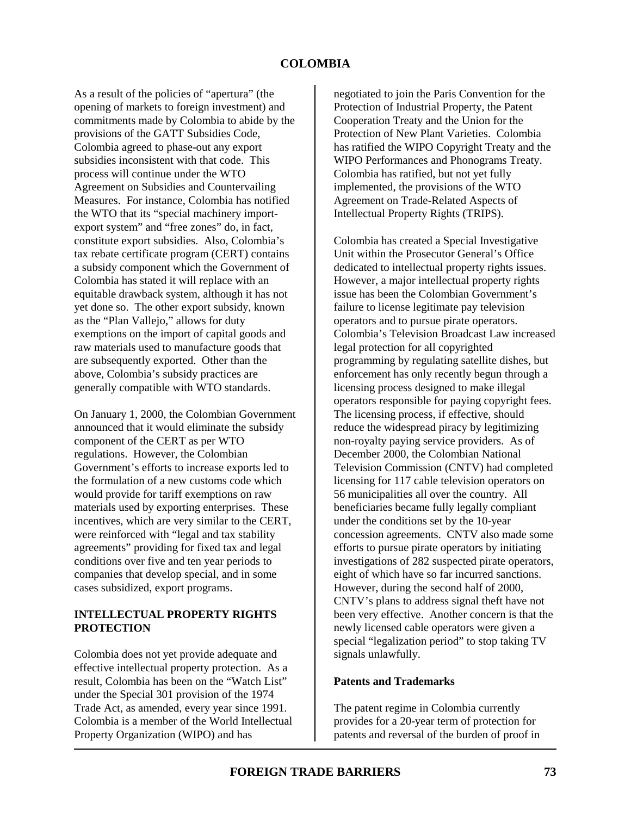As a result of the policies of "apertura" (the opening of markets to foreign investment) and commitments made by Colombia to abide by the provisions of the GATT Subsidies Code, Colombia agreed to phase-out any export subsidies inconsistent with that code. This process will continue under the WTO Agreement on Subsidies and Countervailing Measures. For instance, Colombia has notified the WTO that its "special machinery importexport system" and "free zones" do, in fact, constitute export subsidies. Also, Colombia's tax rebate certificate program (CERT) contains a subsidy component which the Government of Colombia has stated it will replace with an equitable drawback system, although it has not yet done so. The other export subsidy, known as the "Plan Vallejo," allows for duty exemptions on the import of capital goods and raw materials used to manufacture goods that are subsequently exported. Other than the above, Colombia's subsidy practices are generally compatible with WTO standards.

On January 1, 2000, the Colombian Government announced that it would eliminate the subsidy component of the CERT as per WTO regulations. However, the Colombian Government's efforts to increase exports led to the formulation of a new customs code which would provide for tariff exemptions on raw materials used by exporting enterprises. These incentives, which are very similar to the CERT, were reinforced with "legal and tax stability agreements" providing for fixed tax and legal conditions over five and ten year periods to companies that develop special, and in some cases subsidized, export programs.

### **INTELLECTUAL PROPERTY RIGHTS PROTECTION**

Colombia does not yet provide adequate and effective intellectual property protection. As a result, Colombia has been on the "Watch List" under the Special 301 provision of the 1974 Trade Act, as amended, every year since 1991. Colombia is a member of the World Intellectual Property Organization (WIPO) and has

negotiated to join the Paris Convention for the Protection of Industrial Property, the Patent Cooperation Treaty and the Union for the Protection of New Plant Varieties. Colombia has ratified the WIPO Copyright Treaty and the WIPO Performances and Phonograms Treaty. Colombia has ratified, but not yet fully implemented, the provisions of the WTO Agreement on Trade-Related Aspects of Intellectual Property Rights (TRIPS).

Colombia has created a Special Investigative Unit within the Prosecutor General's Office dedicated to intellectual property rights issues. However, a major intellectual property rights issue has been the Colombian Government's failure to license legitimate pay television operators and to pursue pirate operators. Colombia's Television Broadcast Law increased legal protection for all copyrighted programming by regulating satellite dishes, but enforcement has only recently begun through a licensing process designed to make illegal operators responsible for paying copyright fees. The licensing process, if effective, should reduce the widespread piracy by legitimizing non-royalty paying service providers. As of December 2000, the Colombian National Television Commission (CNTV) had completed licensing for 117 cable television operators on 56 municipalities all over the country. All beneficiaries became fully legally compliant under the conditions set by the 10-year concession agreements. CNTV also made some efforts to pursue pirate operators by initiating investigations of 282 suspected pirate operators, eight of which have so far incurred sanctions. However, during the second half of 2000, CNTV's plans to address signal theft have not been very effective. Another concern is that the newly licensed cable operators were given a special "legalization period" to stop taking TV signals unlawfully.

#### **Patents and Trademarks**

The patent regime in Colombia currently provides for a 20-year term of protection for patents and reversal of the burden of proof in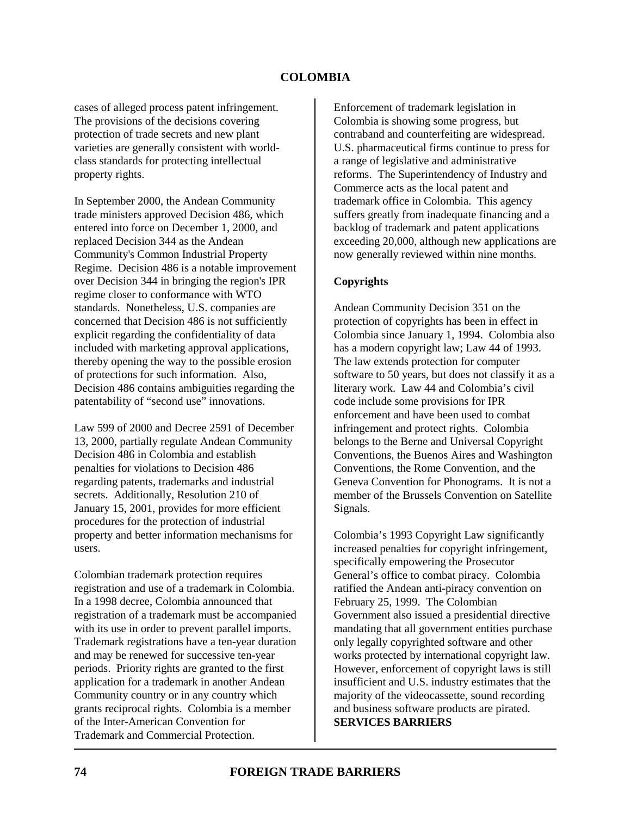cases of alleged process patent infringement. The provisions of the decisions covering protection of trade secrets and new plant varieties are generally consistent with worldclass standards for protecting intellectual property rights.

In September 2000, the Andean Community trade ministers approved Decision 486, which entered into force on December 1, 2000, and replaced Decision 344 as the Andean Community's Common Industrial Property Regime. Decision 486 is a notable improvement over Decision 344 in bringing the region's IPR regime closer to conformance with WTO standards. Nonetheless, U.S. companies are concerned that Decision 486 is not sufficiently explicit regarding the confidentiality of data included with marketing approval applications, thereby opening the way to the possible erosion of protections for such information. Also, Decision 486 contains ambiguities regarding the patentability of "second use" innovations.

Law 599 of 2000 and Decree 2591 of December 13, 2000, partially regulate Andean Community Decision 486 in Colombia and establish penalties for violations to Decision 486 regarding patents, trademarks and industrial secrets. Additionally, Resolution 210 of January 15, 2001, provides for more efficient procedures for the protection of industrial property and better information mechanisms for users.

Colombian trademark protection requires registration and use of a trademark in Colombia. In a 1998 decree, Colombia announced that registration of a trademark must be accompanied with its use in order to prevent parallel imports. Trademark registrations have a ten-year duration and may be renewed for successive ten-year periods. Priority rights are granted to the first application for a trademark in another Andean Community country or in any country which grants reciprocal rights. Colombia is a member of the Inter-American Convention for Trademark and Commercial Protection.

Enforcement of trademark legislation in Colombia is showing some progress, but contraband and counterfeiting are widespread. U.S. pharmaceutical firms continue to press for a range of legislative and administrative reforms. The Superintendency of Industry and Commerce acts as the local patent and trademark office in Colombia. This agency suffers greatly from inadequate financing and a backlog of trademark and patent applications exceeding 20,000, although new applications are now generally reviewed within nine months.

#### **Copyrights**

Andean Community Decision 351 on the protection of copyrights has been in effect in Colombia since January 1, 1994. Colombia also has a modern copyright law; Law 44 of 1993. The law extends protection for computer software to 50 years, but does not classify it as a literary work. Law 44 and Colombia's civil code include some provisions for IPR enforcement and have been used to combat infringement and protect rights.Colombia belongs to the Berne and Universal Copyright Conventions, the Buenos Aires and Washington Conventions, the Rome Convention, and the Geneva Convention for Phonograms. It is not a member of the Brussels Convention on Satellite Signals.

Colombia's 1993 Copyright Law significantly increased penalties for copyright infringement, specifically empowering the Prosecutor General's office to combat piracy. Colombia ratified the Andean anti-piracy convention on February 25, 1999. The Colombian Government also issued a presidential directive mandating that all government entities purchase only legally copyrighted software and other works protected by international copyright law. However, enforcement of copyright laws is still insufficient and U.S. industry estimates that the majority of the videocassette, sound recording and business software products are pirated. **SERVICES BARRIERS**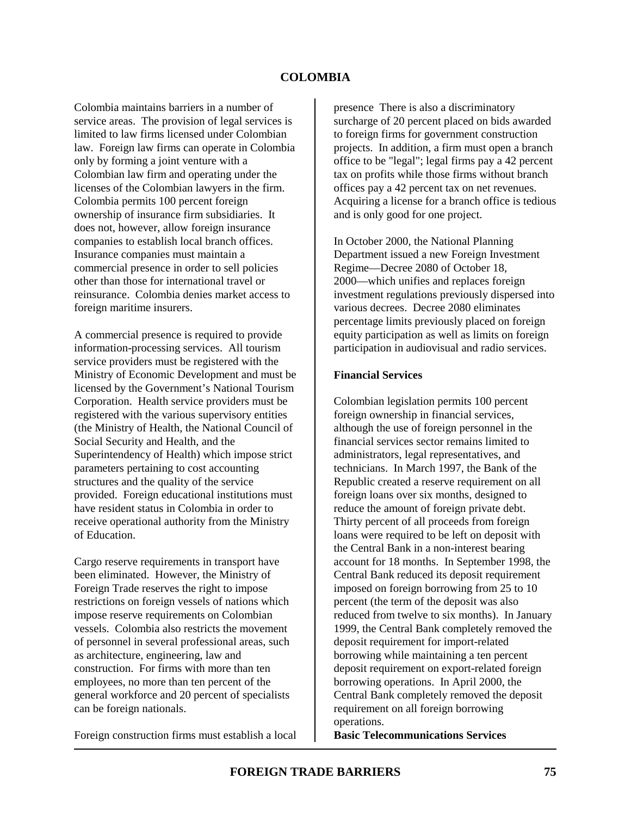Colombia maintains barriers in a number of service areas. The provision of legal services is limited to law firms licensed under Colombian law. Foreign law firms can operate in Colombia only by forming a joint venture with a Colombian law firm and operating under the licenses of the Colombian lawyers in the firm. Colombia permits 100 percent foreign ownership of insurance firm subsidiaries. It does not, however, allow foreign insurance companies to establish local branch offices. Insurance companies must maintain a commercial presence in order to sell policies other than those for international travel or reinsurance. Colombia denies market access to foreign maritime insurers.

A commercial presence is required to provide information-processing services. All tourism service providers must be registered with the Ministry of Economic Development and must be licensed by the Government's National Tourism Corporation. Health service providers must be registered with the various supervisory entities (the Ministry of Health, the National Council of Social Security and Health, and the Superintendency of Health) which impose strict parameters pertaining to cost accounting structures and the quality of the service provided. Foreign educational institutions must have resident status in Colombia in order to receive operational authority from the Ministry of Education.

Cargo reserve requirements in transport have been eliminated. However, the Ministry of Foreign Trade reserves the right to impose restrictions on foreign vessels of nations which impose reserve requirements on Colombian vessels. Colombia also restricts the movement of personnel in several professional areas, such as architecture, engineering, law and construction. For firms with more than ten employees, no more than ten percent of the general workforce and 20 percent of specialists can be foreign nationals.

Foreign construction firms must establish a local

presence There is also a discriminatory surcharge of 20 percent placed on bids awarded to foreign firms for government construction projects. In addition, a firm must open a branch office to be "legal"; legal firms pay a 42 percent tax on profits while those firms without branch offices pay a 42 percent tax on net revenues. Acquiring a license for a branch office is tedious and is only good for one project.

In October 2000, the National Planning Department issued a new Foreign Investment Regime—Decree 2080 of October 18, 2000—which unifies and replaces foreign investment regulations previously dispersed into various decrees. Decree 2080 eliminates percentage limits previously placed on foreign equity participation as well as limits on foreign participation in audiovisual and radio services.

#### **Financial Services**

Colombian legislation permits 100 percent foreign ownership in financial services, although the use of foreign personnel in the financial services sector remains limited to administrators, legal representatives, and technicians. In March 1997, the Bank of the Republic created a reserve requirement on all foreign loans over six months, designed to reduce the amount of foreign private debt. Thirty percent of all proceeds from foreign loans were required to be left on deposit with the Central Bank in a non-interest bearing account for 18 months. In September 1998, the Central Bank reduced its deposit requirement imposed on foreign borrowing from 25 to 10 percent (the term of the deposit was also reduced from twelve to six months). In January 1999, the Central Bank completely removed the deposit requirement for import-related borrowing while maintaining a ten percent deposit requirement on export-related foreign borrowing operations. In April 2000, the Central Bank completely removed the deposit requirement on all foreign borrowing operations.

**Basic Telecommunications Services**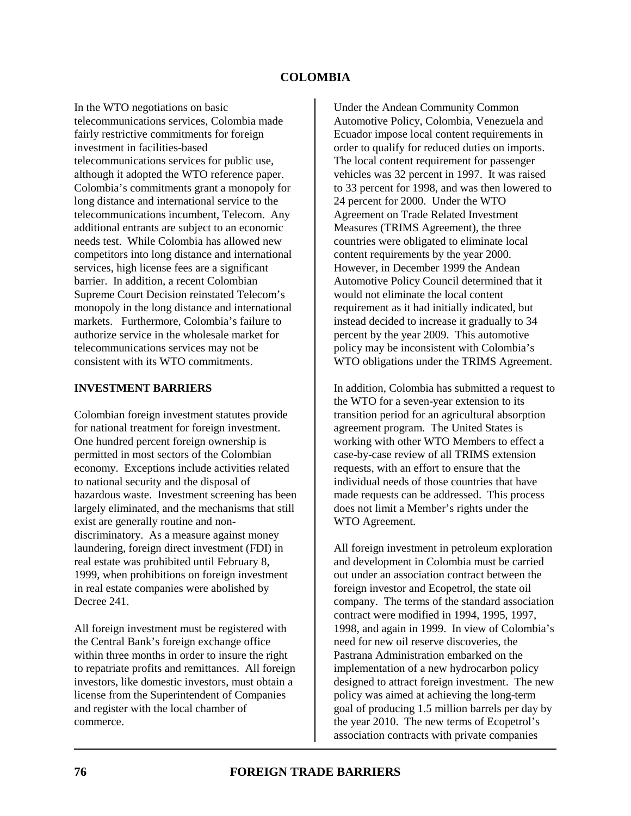In the WTO negotiations on basic telecommunications services, Colombia made fairly restrictive commitments for foreign investment in facilities-based telecommunications services for public use, although it adopted the WTO reference paper. Colombia's commitments grant a monopoly for long distance and international service to the telecommunications incumbent, Telecom. Any additional entrants are subject to an economic needs test. While Colombia has allowed new competitors into long distance and international services, high license fees are a significant barrier. In addition, a recent Colombian Supreme Court Decision reinstated Telecom's monopoly in the long distance and international markets. Furthermore, Colombia's failure to authorize service in the wholesale market for telecommunications services may not be consistent with its WTO commitments.

#### **INVESTMENT BARRIERS**

Colombian foreign investment statutes provide for national treatment for foreign investment. One hundred percent foreign ownership is permitted in most sectors of the Colombian economy. Exceptions include activities related to national security and the disposal of hazardous waste. Investment screening has been largely eliminated, and the mechanisms that still exist are generally routine and nondiscriminatory. As a measure against money laundering, foreign direct investment (FDI) in real estate was prohibited until February 8, 1999, when prohibitions on foreign investment in real estate companies were abolished by Decree 241.

All foreign investment must be registered with the Central Bank's foreign exchange office within three months in order to insure the right to repatriate profits and remittances. All foreign investors, like domestic investors, must obtain a license from the Superintendent of Companies and register with the local chamber of commerce.

Under the Andean Community Common Automotive Policy, Colombia, Venezuela and Ecuador impose local content requirements in order to qualify for reduced duties on imports. The local content requirement for passenger vehicles was 32 percent in 1997. It was raised to 33 percent for 1998, and was then lowered to 24 percent for 2000. Under the WTO Agreement on Trade Related Investment Measures (TRIMS Agreement), the three countries were obligated to eliminate local content requirements by the year 2000. However, in December 1999 the Andean Automotive Policy Council determined that it would not eliminate the local content requirement as it had initially indicated, but instead decided to increase it gradually to 34 percent by the year 2009. This automotive policy may be inconsistent with Colombia's WTO obligations under the TRIMS Agreement.

In addition, Colombia has submitted a request to the WTO for a seven-year extension to its transition period for an agricultural absorption agreement program. The United States is working with other WTO Members to effect a case-by-case review of all TRIMS extension requests, with an effort to ensure that the individual needs of those countries that have made requests can be addressed. This process does not limit a Member's rights under the WTO Agreement.

All foreign investment in petroleum exploration and development in Colombia must be carried out under an association contract between the foreign investor and Ecopetrol, the state oil company. The terms of the standard association contract were modified in 1994, 1995, 1997, 1998, and again in 1999. In view of Colombia's need for new oil reserve discoveries, the Pastrana Administration embarked on the implementation of a new hydrocarbon policy designed to attract foreign investment. The new policy was aimed at achieving the long-term goal of producing 1.5 million barrels per day by the year 2010. The new terms of Ecopetrol's association contracts with private companies